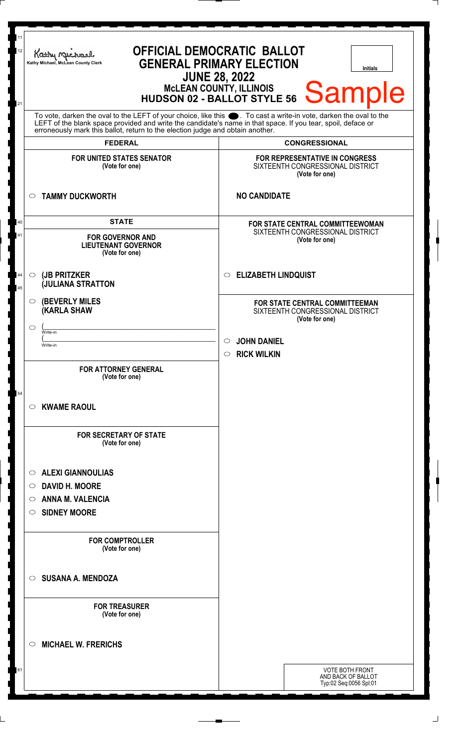| 11<br>OFFICIAL DEMOCRATIC BALLOT<br>12<br>Kathy Muc<br><b>GENERAL PRIMARY ELECTION</b><br>Kathy Michael, McLean County Clerk<br><b>Initials</b><br><b>JUNE 28, 2022</b><br>MCLEAN COUNTY, ILLINOIS<br>HUDSON 02 - BALLOT STYLE 56 Sample<br>21 |                                                                                                                                                                                                                                                                                                                        |                                                                                             |
|------------------------------------------------------------------------------------------------------------------------------------------------------------------------------------------------------------------------------------------------|------------------------------------------------------------------------------------------------------------------------------------------------------------------------------------------------------------------------------------------------------------------------------------------------------------------------|---------------------------------------------------------------------------------------------|
|                                                                                                                                                                                                                                                | To vote, darken the oval to the LEFT of your choice, like this $\bullet$ . To cast a write-in vote, darken the oval to the LEFT of the blank space provided and write the candidate's name in that space. If you tear, spoil, deface<br>erroneously mark this ballot, return to the election judge and obtain another. |                                                                                             |
|                                                                                                                                                                                                                                                | <b>FEDERAL</b>                                                                                                                                                                                                                                                                                                         | <b>CONGRESSIONAL</b>                                                                        |
|                                                                                                                                                                                                                                                | <b>FOR UNITED STATES SENATOR</b><br>(Vote for one)                                                                                                                                                                                                                                                                     | FOR REPRESENTATIVE IN CONGRESS<br>SIXTEENTH CONGRESSIONAL DISTRICT<br>(Vote for one)        |
| $\circ$                                                                                                                                                                                                                                        | <b>TAMMY DUCKWORTH</b>                                                                                                                                                                                                                                                                                                 | <b>NO CANDIDATE</b>                                                                         |
| 40                                                                                                                                                                                                                                             | <b>STATE</b>                                                                                                                                                                                                                                                                                                           | FOR STATE CENTRAL COMMITTEEWOMAN                                                            |
| 41                                                                                                                                                                                                                                             | <b>FOR GOVERNOR AND</b><br><b>LIEUTENANT GOVERNOR</b><br>(Vote for one)                                                                                                                                                                                                                                                | SIXTEENTH CONGRESSIONAL DISTRICT<br>(Vote for one)                                          |
| $\circ$<br>44<br>45                                                                                                                                                                                                                            | (JB PRITZKER<br><b>JULIANA STRATTON</b>                                                                                                                                                                                                                                                                                | <b>ELIZABETH LINDQUIST</b><br>$\circ$                                                       |
| $\circ$                                                                                                                                                                                                                                        | <b>(BEVERLY MILES)</b><br><b>(KARLA SHAW</b>                                                                                                                                                                                                                                                                           | <b>FOR STATE CENTRAL COMMITTEEMAN</b><br>SIXTEENTH CONGRESSIONAL DISTRICT<br>(Vote for one) |
| ◯                                                                                                                                                                                                                                              | Write-in                                                                                                                                                                                                                                                                                                               |                                                                                             |
|                                                                                                                                                                                                                                                | Write-in                                                                                                                                                                                                                                                                                                               | <b>JOHN DANIEL</b><br>$\circ$                                                               |
|                                                                                                                                                                                                                                                | <b>FOR ATTORNEY GENERAL</b><br>(Vote for one)                                                                                                                                                                                                                                                                          | <b>RICK WILKIN</b><br>$\circ$                                                               |
| 54<br>$\circ$                                                                                                                                                                                                                                  | <b>KWAME RAOUL</b>                                                                                                                                                                                                                                                                                                     |                                                                                             |
|                                                                                                                                                                                                                                                | <b>FOR SECRETARY OF STATE</b><br>(Vote for one)                                                                                                                                                                                                                                                                        |                                                                                             |
| $\circ$                                                                                                                                                                                                                                        | <b>ALEXI GIANNOULIAS</b>                                                                                                                                                                                                                                                                                               |                                                                                             |
| O                                                                                                                                                                                                                                              | <b>DAVID H. MOORE</b>                                                                                                                                                                                                                                                                                                  |                                                                                             |
| O                                                                                                                                                                                                                                              | <b>ANNA M. VALENCIA</b>                                                                                                                                                                                                                                                                                                |                                                                                             |
| O                                                                                                                                                                                                                                              | <b>SIDNEY MOORE</b>                                                                                                                                                                                                                                                                                                    |                                                                                             |
|                                                                                                                                                                                                                                                | <b>FOR COMPTROLLER</b><br>(Vote for one)                                                                                                                                                                                                                                                                               |                                                                                             |
| $\circ$                                                                                                                                                                                                                                        | <b>SUSANA A. MENDOZA</b>                                                                                                                                                                                                                                                                                               |                                                                                             |
|                                                                                                                                                                                                                                                | <b>FOR TREASURER</b><br>(Vote for one)                                                                                                                                                                                                                                                                                 |                                                                                             |
| $\circ$                                                                                                                                                                                                                                        | <b>MICHAEL W. FRERICHS</b>                                                                                                                                                                                                                                                                                             |                                                                                             |
|                                                                                                                                                                                                                                                |                                                                                                                                                                                                                                                                                                                        | <b>VOTE BOTH FRONT</b><br>AND BACK OF BALLOT<br>Typ:02 Seq:0056 Spl:01                      |